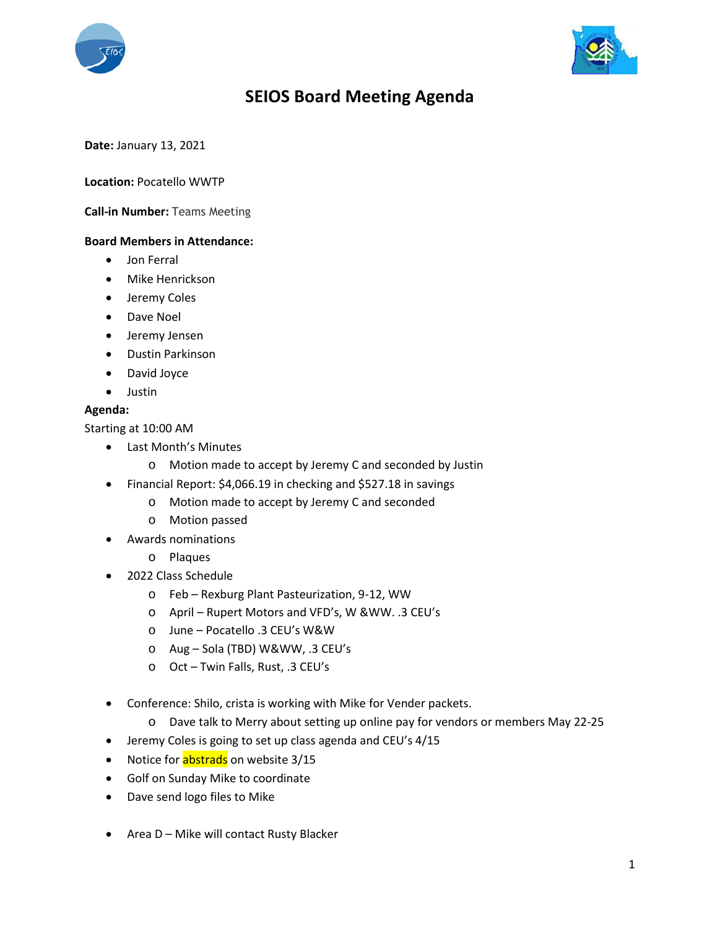



# **SEIOS Board Meeting Agenda**

**Date:** January 13, 2021

## **Location:** Pocatello WWTP

### **Call-in Number:** Teams Meeting

### **Board Members in Attendance:**

- Jon Ferral
- Mike Henrickson
- **•** Jeremy Coles
- Dave Noel
- Jeremy Jensen
- Dustin Parkinson
- David Joyce
- Justin

### **Agenda:**

Starting at 10:00 AM

- Last Month's Minutes
	- o Motion made to accept by Jeremy C and seconded by Justin
- Financial Report: \$4,066.19 in checking and \$527.18 in savings
	- o Motion made to accept by Jeremy C and seconded
	- o Motion passed
- Awards nominations
	- o Plaques
- 2022 Class Schedule
	- o Feb Rexburg Plant Pasteurization, 9-12, WW
	- o April Rupert Motors and VFD's, W &WW. .3 CEU's
	- o June Pocatello .3 CEU's W&W
	- o Aug Sola (TBD) W&WW, .3 CEU's
	- o Oct Twin Falls, Rust, .3 CEU's
- Conference: Shilo, crista is working with Mike for Vender packets.
	- o Dave talk to Merry about setting up online pay for vendors or members May 22-25
- Jeremy Coles is going to set up class agenda and CEU's 4/15
- Notice for **abstrads** on website 3/15
- Golf on Sunday Mike to coordinate
- Dave send logo files to Mike
- Area D Mike will contact Rusty Blacker